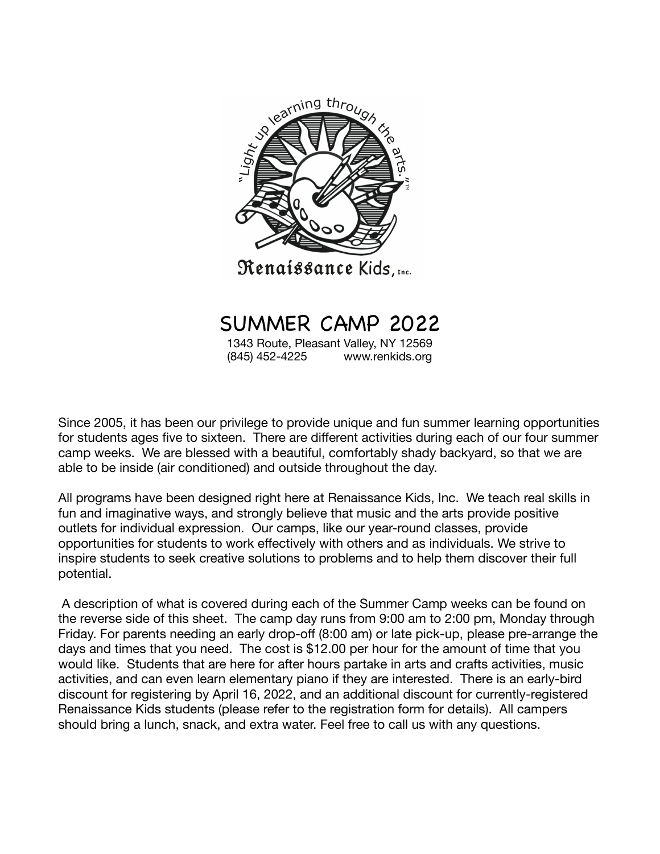

# SUMMER CAMP 2022

1343 Route, Pleasant Valley, NY 12569 (845) 452-4225 www.renkids.org

Since 2005, it has been our privilege to provide unique and fun summer learning opportunities for students ages five to sixteen. There are different activities during each of our four summer camp weeks. We are blessed with a beautiful, comfortably shady backyard, so that we are able to be inside (air conditioned) and outside throughout the day.

All programs have been designed right here at Renaissance Kids, Inc. We teach real skills in fun and imaginative ways, and strongly believe that music and the arts provide positive outlets for individual expression. Our camps, like our year-round classes, provide opportunities for students to work effectively with others and as individuals. We strive to inspire students to seek creative solutions to problems and to help them discover their full potential.

 A description of what is covered during each of the Summer Camp weeks can be found on the reverse side of this sheet. The camp day runs from 9:00 am to 2:00 pm, Monday through Friday. For parents needing an early drop-off (8:00 am) or late pick-up, please pre-arrange the days and times that you need. The cost is \$12.00 per hour for the amount of time that you would like. Students that are here for after hours partake in arts and crafts activities, music activities, and can even learn elementary piano if they are interested. There is an early-bird discount for registering by April 16, 2022, and an additional discount for currently-registered Renaissance Kids students (please refer to the registration form for details). All campers should bring a lunch, snack, and extra water. Feel free to call us with any questions.